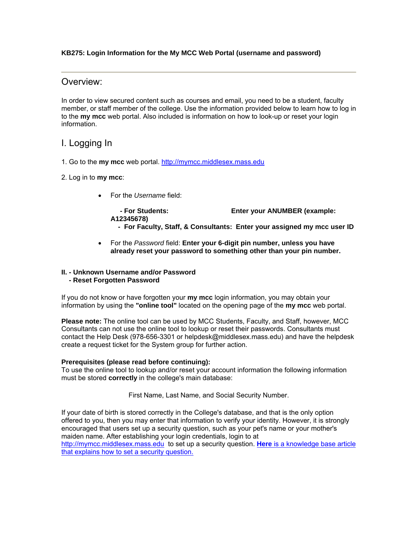#### **KB275: Login Information for the My MCC Web Portal (username and password)**

### Overview:

In order to view secured content such as courses and email, you need to be a student, faculty member, or staff member of the college. Use the information provided below to learn how to log in to the **my mcc** web portal. Also included is information on how to look-up or reset your login information.

## I. Logging In

- 1. Go to the **my mcc** web portal. http://mymcc.middlesex.mass.edu
- 2. Log in to **my mcc**:
	- For the *Username* field:

 **- For Students: Enter your ANUMBER (example: A12345678)** 

- **For Faculty, Staff, & Consultants: Enter your assigned my mcc user ID**
- For the *Password* field: **Enter your 6-digit pin number, unless you have already reset your password to something other than your pin number.**

# **II. - Unknown Username and/or Password**

#### **- Reset Forgotten Password**

If you do not know or have forgotten your **my mcc** login information, you may obtain your information by using the **"online tool"** located on the opening page of the **my mcc** web portal.

**Please note:** The online tool can be used by MCC Students, Faculty, and Staff, however, MCC Consultants can not use the online tool to lookup or reset their passwords. Consultants must contact the Help Desk (978-656-3301 or helpdesk@middlesex.mass.edu) and have the helpdesk create a request ticket for the System group for further action.

#### **Prerequisites (please read before continuing):**

To use the online tool to lookup and/or reset your account information the following information must be stored **correctly** in the college's main database:

First Name, Last Name, and Social Security Number.

If your date of birth is stored correctly in the College's database, and that is the only option offered to you, then you may enter that information to verify your identity. However, it is strongly encouraged that users set up a security question, such as your pet's name or your mother's maiden name. After establishing your login credentials, login to at http://mymcc.middlesex.mass.edu to set up a security question. **Here** is a knowledge base article that explains how to set a security question.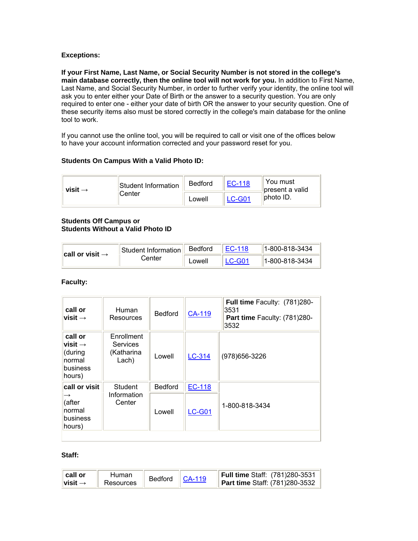#### **Exceptions:**

**If your First Name, Last Name, or Social Security Number is not stored in the college's main database correctly, then the online tool will not work for you.** In addition to First Name, Last Name, and Social Security Number, in order to further verify your identity, the online tool will ask you to enter either your Date of Birth or the answer to a security question. You are only required to enter one - either your date of birth OR the answer to your security question. One of these security items also must be stored correctly in the college's main database for the online tool to work.

If you cannot use the online tool, you will be required to call or visit one of the offices below to have your account information corrected and your password reset for you.

#### **Students On Campus With a Valid Photo ID:**

| visit $\rightarrow$ | Student Information | <b>Bedford</b> | FC-118            | You must<br>present a valid |
|---------------------|---------------------|----------------|-------------------|-----------------------------|
|                     | iCenter             | Lowell         | $1 \text{ C-G}04$ | liphoto ID.                 |

#### **Students Off Campus or Students Without a Valid Photo ID**

| $\parallel$ call or visit $\rightarrow$ | Student Information | Bedford | 1-800-818-3434 |
|-----------------------------------------|---------------------|---------|----------------|
|                                         | Center              | Lowell  | 1-800-818-3434 |

#### **Faculty:**

| call or<br>visit $\rightarrow$                                            | Human<br>Resources                            | <b>Bedford</b> | CA-119        | Full time Faculty: (781)280-<br>3531<br>Part time Faculty: (781)280-<br>3532 |
|---------------------------------------------------------------------------|-----------------------------------------------|----------------|---------------|------------------------------------------------------------------------------|
| call or<br>visit $\rightarrow$<br>(during<br>normal<br>business<br>hours) | Enrollment<br>Services<br>(Katharina<br>Lach) | Lowell         | LC-314        | (978) 656-3226                                                               |
| call or visit                                                             | Student                                       | <b>Bedford</b> | <b>EC-118</b> |                                                                              |
| $\rightarrow$<br>(after<br>normal<br>business<br>hours)                   | Information<br>Center                         | Lowell         | <b>LC-G01</b> | 1-800-818-3434                                                               |

#### **Staff:**

| ∥ call or<br>Human<br>$^{\shortparallel}$ visit $\rightarrow$<br>Resources | Bedford   CA-119 |  | Full time Staff: (781)280-3531<br>Part time Staff: (781)280-3532 |
|----------------------------------------------------------------------------|------------------|--|------------------------------------------------------------------|
|----------------------------------------------------------------------------|------------------|--|------------------------------------------------------------------|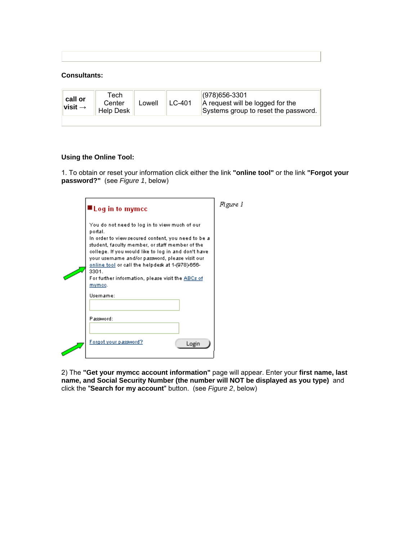#### **Consultants:**

| call or<br>visit $\rightarrow$ | Tech<br>Center<br><b>Help Desk</b> | Lowell | $LC-401$ | $ (978)656 - 3301$<br>A request will be logged for the<br>Systems group to reset the password. |
|--------------------------------|------------------------------------|--------|----------|------------------------------------------------------------------------------------------------|
|                                |                                    |        |          |                                                                                                |

#### **Using the Online Tool:**

1. To obtain or reset your information click either the link **"online tool"** or the link **"Forgot your password?"** (see *Figure 1*, below)

| $\blacksquare$ Log in to mymcc                                                                                                                                                                                                                                                                                                                                                                                              | Figure I |
|-----------------------------------------------------------------------------------------------------------------------------------------------------------------------------------------------------------------------------------------------------------------------------------------------------------------------------------------------------------------------------------------------------------------------------|----------|
| You do not need to log in to view much of our<br>portal.<br>In order to view secured content, you need to be a<br>student, faculty member, or staff member of the<br>college. If you would like to log in and don't have<br>your username and/or password, please visit our<br><u>online tool</u> or call the helpdesk at 1-(978)-656-<br>3301.<br>For further information, please visit the ABCs of<br>mymce.<br>Username: |          |
| Plassword:                                                                                                                                                                                                                                                                                                                                                                                                                  |          |
| Forgot your password?<br>Login                                                                                                                                                                                                                                                                                                                                                                                              |          |

2) The **"Get your mymcc account information"** page will appear. Enter your **first name, last name, and Social Security Number (the number will NOT be displayed as you type)** and click the "**Search for my account**" button. (see *Figure 2*, below)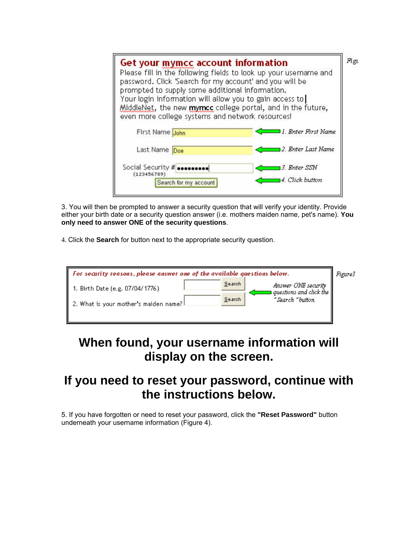| Get your mymcc account information<br>Please fill in the following fields to look up your username and<br>password. Click 'Search for my account' and you will be<br>prompted to supply some additional information.<br>Your login information will allow you to gain access to<br>MiddleNet, the new myncc college portal, and in the future,<br>even more college systems and network resources! |                                  | Figu |
|----------------------------------------------------------------------------------------------------------------------------------------------------------------------------------------------------------------------------------------------------------------------------------------------------------------------------------------------------------------------------------------------------|----------------------------------|------|
| First Name John                                                                                                                                                                                                                                                                                                                                                                                    | 11. Enter First Name             |      |
| Last Name Doe                                                                                                                                                                                                                                                                                                                                                                                      | 12. Enter Last Name              |      |
| Social Security # <b>secure second</b><br>(123456789)<br>Search for my account                                                                                                                                                                                                                                                                                                                     | 13. Enter SSN<br>4. Click button |      |

3. You will then be prompted to answer a security question that will verify your identity. Provide either your birth date or a security question answer (i.e. mothers maiden name, pet's name). **You only need to answer ONE of the security questions**.

4. Click the **Search** for button next to the appropriate security question.

| For security reasons, please answer one of the available questions below.                                      | Figure3 |
|----------------------------------------------------------------------------------------------------------------|---------|
| Search<br>Answer ONE security<br>1. Birth Date (e.g. 07/04/1776)<br>$\mid$ questions and click the $\parallel$ |         |
| Search<br>"Search "button.<br>$\parallel$ 2. What is your mother's maiden name? $\parallel$                    |         |
|                                                                                                                |         |

# **When found, your username information will display on the screen.**

# **If you need to reset your password, continue with the instructions below.**

5. If you have forgotten or need to reset your password, click the **"Reset Password"** button underneath your username information (Figure 4).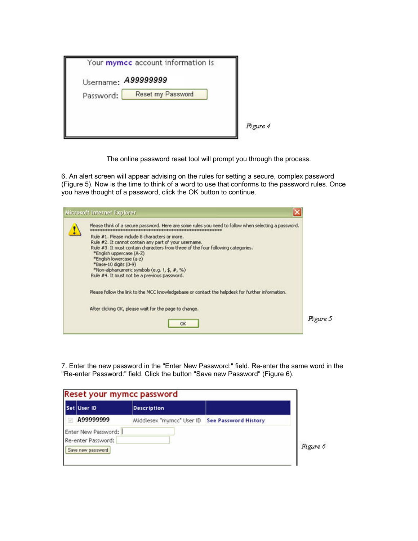The online password reset tool will prompt you through the process.

6. An alert screen will appear advising on the rules for setting a secure, complex password (Figure 5). Now is the time to think of a word to use that conforms to the password rules. Once you have thought of a password, click the OK button to continue.

| Please think of a secure password. Here are some rules you need to follow when selecting a password.<br>********************************                                                                                                                                                                                                                                    |          |
|-----------------------------------------------------------------------------------------------------------------------------------------------------------------------------------------------------------------------------------------------------------------------------------------------------------------------------------------------------------------------------|----------|
| Rule #1. Please include 8 characters or more.<br>Rule #2. It cannot contain any part of your username.<br>Rule #3. It must contain characters from three of the four following categories.<br>*English uppercase (A-Z)<br>*English lowercase (a-z)<br>*Base-10 digits (0-9)<br>*Non-alphanumeric symbols (e.g. 1, \$, #, %)<br>Rule #4. It must not be a previous password. |          |
| Please follow the link to the MCC knowledgebase or contact the helpdesk for further information.                                                                                                                                                                                                                                                                            |          |
| After clicking OK, please wait for the page to change.                                                                                                                                                                                                                                                                                                                      |          |
| OK                                                                                                                                                                                                                                                                                                                                                                          | Figure 5 |

7. Enter the new password in the "Enter New Password:" field. Re-enter the same word in the "Re-enter Password:" field. Click the button "Save new Password" (Figure 6).

|                                           | Reset your mymcc password                      |          |
|-------------------------------------------|------------------------------------------------|----------|
| Set User ID                               | <b>Description</b>                             |          |
| A99999999                                 | Middlesex "mymcc" User ID See Password History |          |
| Enter New Password:<br>Re-enter Password: |                                                |          |
| Save new password                         |                                                | Figure 6 |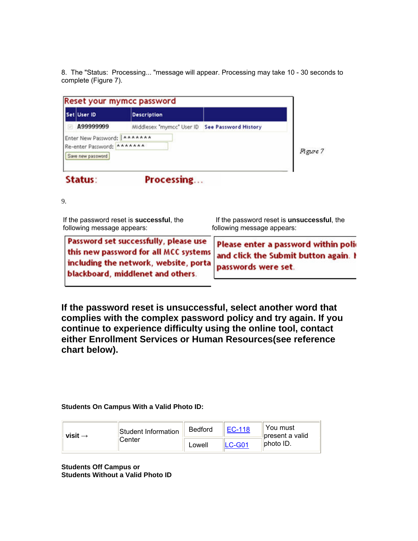8. The "Status: Processing... "message will appear. Processing may take 10 - 30 seconds to complete (Figure 7).

| A99999999<br>Middlesex "mymcc" User ID See Password History<br>Enter New Password:   ******* |          |
|----------------------------------------------------------------------------------------------|----------|
|                                                                                              |          |
| Re-enter Password: *******<br>Save new password                                              | Figure 7 |

9.

| If the password reset is successful, the                                                                                                                      | If the password reset is <b>unsuccessful</b> , the                                                  |  |  |
|---------------------------------------------------------------------------------------------------------------------------------------------------------------|-----------------------------------------------------------------------------------------------------|--|--|
| following message appears:                                                                                                                                    | following message appears:                                                                          |  |  |
| Password set successfully, please use<br>this new password for all MCC systems<br>including the network, website, portal<br>blackboard, middlenet and others. | Please enter a password within poli-<br>and click the Submit button again. I<br>passwords were set. |  |  |

**If the password reset is unsuccessful, select another word that complies with the complex password policy and try again. If you continue to experience difficulty using the online tool, contact either Enrollment Services or Human Resources(see reference chart below).**

#### **Students On Campus With a Valid Photo ID:**

| Student Information<br>visit $\rightarrow$<br><b>Center</b> | <b>Bedford</b> | EC-118 | You must<br>Ibresent a valid |
|-------------------------------------------------------------|----------------|--------|------------------------------|
|                                                             |                | Lowell | $LC-G01$                     |

**Students Off Campus or Students Without a Valid Photo ID**